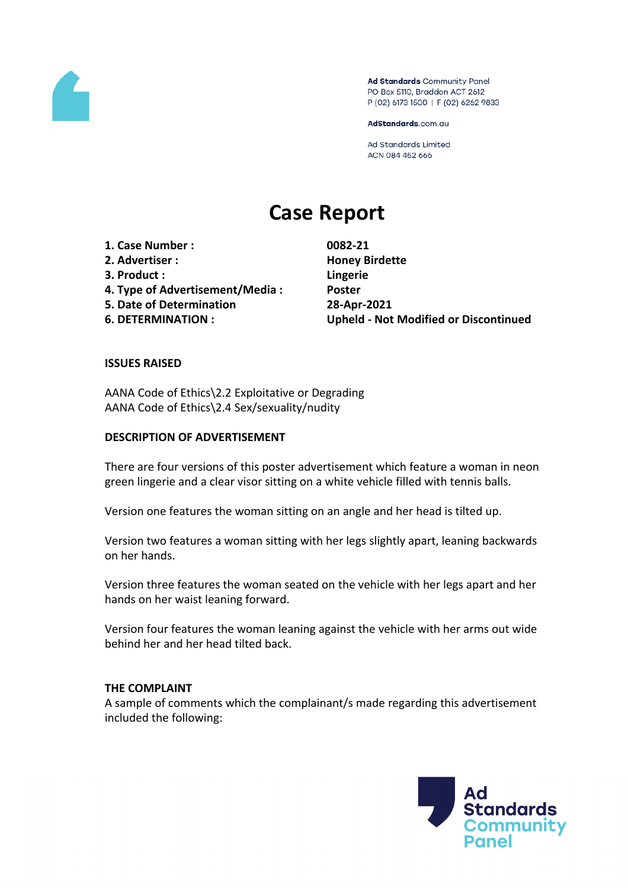

Ad Standards Community Panel PO Box 5110, Braddon ACT 2612 P (02) 6173 1500 | F (02) 6262 9833

AdStandards.com.au

Ad Standards Limited ACN 084 452 666

# **Case Report**

**1. Case Number : 0082-21 2. Advertiser : Honey Birdette 3. Product : Lingerie 4. Type of Advertisement/Media : Poster 5. Date of Determination 28-Apr-2021**

**6. DETERMINATION : Upheld - Not Modified or Discontinued**

#### **ISSUES RAISED**

AANA Code of Ethics\2.2 Exploitative or Degrading AANA Code of Ethics\2.4 Sex/sexuality/nudity

#### **DESCRIPTION OF ADVERTISEMENT**

There are four versions of this poster advertisement which feature a woman in neon green lingerie and a clear visor sitting on a white vehicle filled with tennis balls.

Version one features the woman sitting on an angle and her head is tilted up.

Version two features a woman sitting with her legs slightly apart, leaning backwards on her hands.

Version three features the woman seated on the vehicle with her legs apart and her hands on her waist leaning forward.

Version four features the woman leaning against the vehicle with her arms out wide behind her and her head tilted back.

#### **THE COMPLAINT**

A sample of comments which the complainant/s made regarding this advertisement included the following:

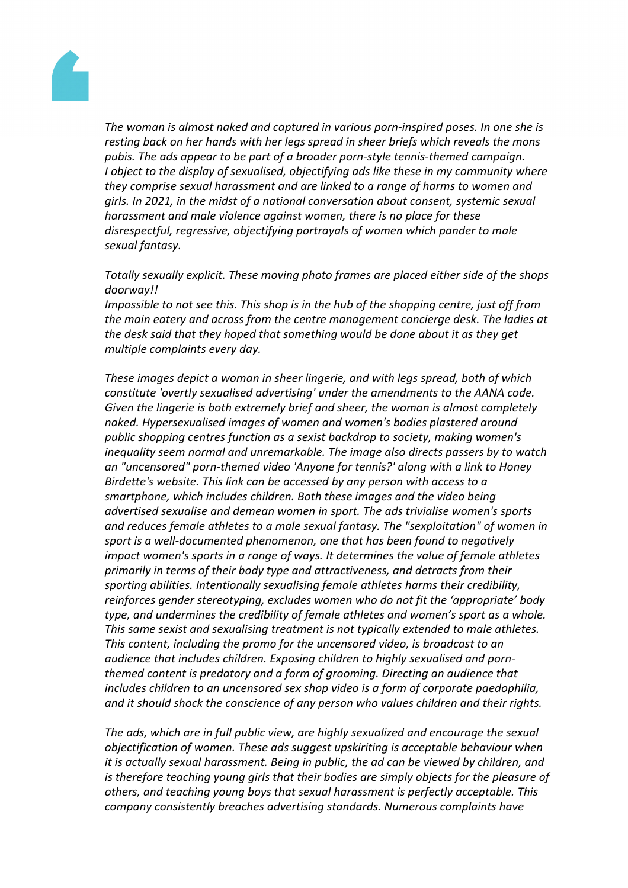

*The woman is almost naked and captured in various porn-inspired poses. In one she is resting back on her hands with her legs spread in sheer briefs which reveals the mons pubis. The ads appear to be part of a broader porn-style tennis-themed campaign. I object to the display of sexualised, objectifying ads like these in my community where they comprise sexual harassment and are linked to a range of harms to women and girls. In 2021, in the midst of a national conversation about consent, systemic sexual harassment and male violence against women, there is no place for these disrespectful, regressive, objectifying portrayals of women which pander to male sexual fantasy.*

*Totally sexually explicit. These moving photo frames are placed either side of the shops doorway!!*

*Impossible to not see this. This shop is in the hub of the shopping centre, just off from the main eatery and across from the centre management concierge desk. The ladies at the desk said that they hoped that something would be done about it as they get multiple complaints every day.*

*These images depict a woman in sheer lingerie, and with legs spread, both of which constitute 'overtly sexualised advertising' under the amendments to the AANA code. Given the lingerie is both extremely brief and sheer, the woman is almost completely naked. Hypersexualised images of women and women's bodies plastered around public shopping centres function as a sexist backdrop to society, making women's inequality seem normal and unremarkable. The image also directs passers by to watch an "uncensored" porn-themed video 'Anyone for tennis?' along with a link to Honey Birdette's website. This link can be accessed by any person with access to a smartphone, which includes children. Both these images and the video being advertised sexualise and demean women in sport. The ads trivialise women's sports and reduces female athletes to a male sexual fantasy. The "sexploitation" of women in sport is a well-documented phenomenon, one that has been found to negatively impact women's sports in a range of ways. It determines the value of female athletes primarily in terms of their body type and attractiveness, and detracts from their sporting abilities. Intentionally sexualising female athletes harms their credibility, reinforces gender stereotyping, excludes women who do not fit the 'appropriate' body type, and undermines the credibility of female athletes and women's sport as a whole. This same sexist and sexualising treatment is not typically extended to male athletes. This content, including the promo for the uncensored video, is broadcast to an audience that includes children. Exposing children to highly sexualised and pornthemed content is predatory and a form of grooming. Directing an audience that includes children to an uncensored sex shop video is a form of corporate paedophilia, and it should shock the conscience of any person who values children and their rights.*

*The ads, which are in full public view, are highly sexualized and encourage the sexual objectification of women. These ads suggest upskiriting is acceptable behaviour when it is actually sexual harassment. Being in public, the ad can be viewed by children, and is therefore teaching young girls that their bodies are simply objects for the pleasure of others, and teaching young boys that sexual harassment is perfectly acceptable. This company consistently breaches advertising standards. Numerous complaints have*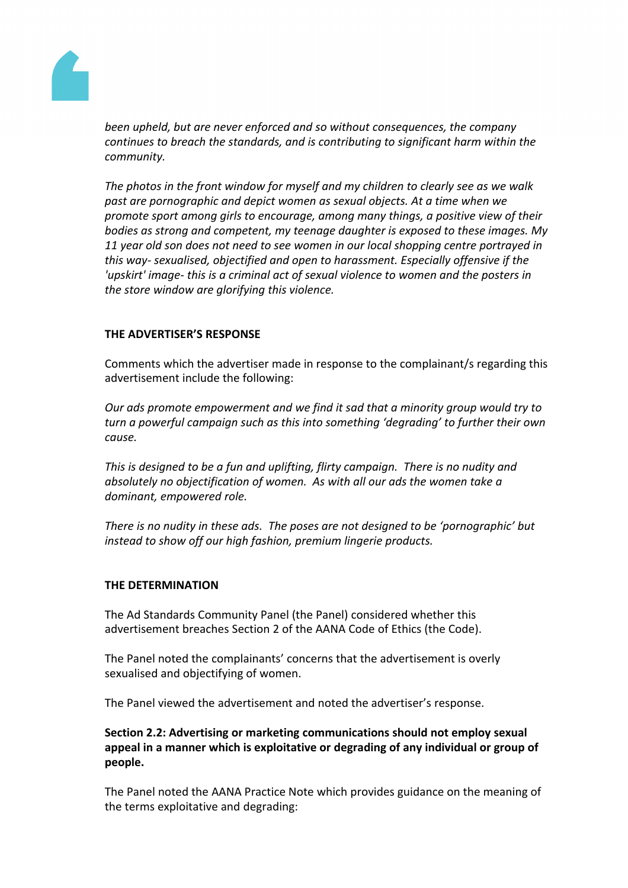

*been upheld, but are never enforced and so without consequences, the company continues to breach the standards, and is contributing to significant harm within the community.*

*The photos in the front window for myself and my children to clearly see as we walk past are pornographic and depict women as sexual objects. At a time when we promote sport among girls to encourage, among many things, a positive view of their bodies as strong and competent, my teenage daughter is exposed to these images. My 11 year old son does not need to see women in our local shopping centre portrayed in this way- sexualised, objectified and open to harassment. Especially offensive if the 'upskirt' image- this is a criminal act of sexual violence to women and the posters in the store window are glorifying this violence.*

## **THE ADVERTISER'S RESPONSE**

Comments which the advertiser made in response to the complainant/s regarding this advertisement include the following:

*Our ads promote empowerment and we find it sad that a minority group would try to turn a powerful campaign such as this into something 'degrading' to further their own cause.*

*This is designed to be a fun and uplifting, flirty campaign. There is no nudity and absolutely no objectification of women. As with all our ads the women take a dominant, empowered role.*

*There is no nudity in these ads. The poses are not designed to be 'pornographic' but instead to show off our high fashion, premium lingerie products.*

## **THE DETERMINATION**

The Ad Standards Community Panel (the Panel) considered whether this advertisement breaches Section 2 of the AANA Code of Ethics (the Code).

The Panel noted the complainants' concerns that the advertisement is overly sexualised and objectifying of women.

The Panel viewed the advertisement and noted the advertiser's response.

**Section 2.2: Advertising or marketing communications should not employ sexual appeal in a manner which is exploitative or degrading of any individual or group of people.**

The Panel noted the AANA Practice Note which provides guidance on the meaning of the terms exploitative and degrading: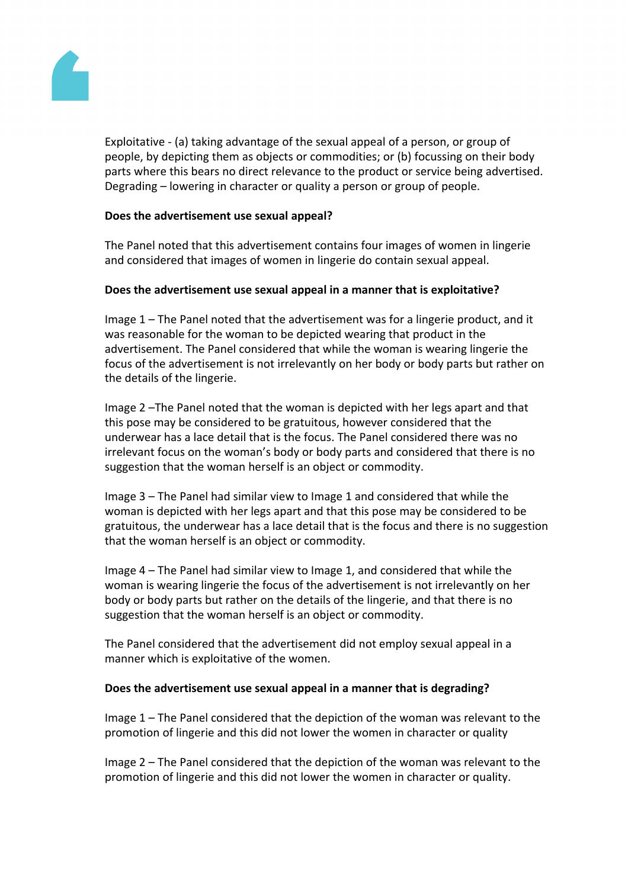

Exploitative - (a) taking advantage of the sexual appeal of a person, or group of people, by depicting them as objects or commodities; or (b) focussing on their body parts where this bears no direct relevance to the product or service being advertised. Degrading – lowering in character or quality a person or group of people.

## **Does the advertisement use sexual appeal?**

The Panel noted that this advertisement contains four images of women in lingerie and considered that images of women in lingerie do contain sexual appeal.

## **Does the advertisement use sexual appeal in a manner that is exploitative?**

Image 1 – The Panel noted that the advertisement was for a lingerie product, and it was reasonable for the woman to be depicted wearing that product in the advertisement. The Panel considered that while the woman is wearing lingerie the focus of the advertisement is not irrelevantly on her body or body parts but rather on the details of the lingerie.

Image 2 –The Panel noted that the woman is depicted with her legs apart and that this pose may be considered to be gratuitous, however considered that the underwear has a lace detail that is the focus. The Panel considered there was no irrelevant focus on the woman's body or body parts and considered that there is no suggestion that the woman herself is an object or commodity.

Image 3 – The Panel had similar view to Image 1 and considered that while the woman is depicted with her legs apart and that this pose may be considered to be gratuitous, the underwear has a lace detail that is the focus and there is no suggestion that the woman herself is an object or commodity.

Image 4 – The Panel had similar view to Image 1, and considered that while the woman is wearing lingerie the focus of the advertisement is not irrelevantly on her body or body parts but rather on the details of the lingerie, and that there is no suggestion that the woman herself is an object or commodity.

The Panel considered that the advertisement did not employ sexual appeal in a manner which is exploitative of the women.

## **Does the advertisement use sexual appeal in a manner that is degrading?**

Image 1 – The Panel considered that the depiction of the woman was relevant to the promotion of lingerie and this did not lower the women in character or quality

Image 2 – The Panel considered that the depiction of the woman was relevant to the promotion of lingerie and this did not lower the women in character or quality.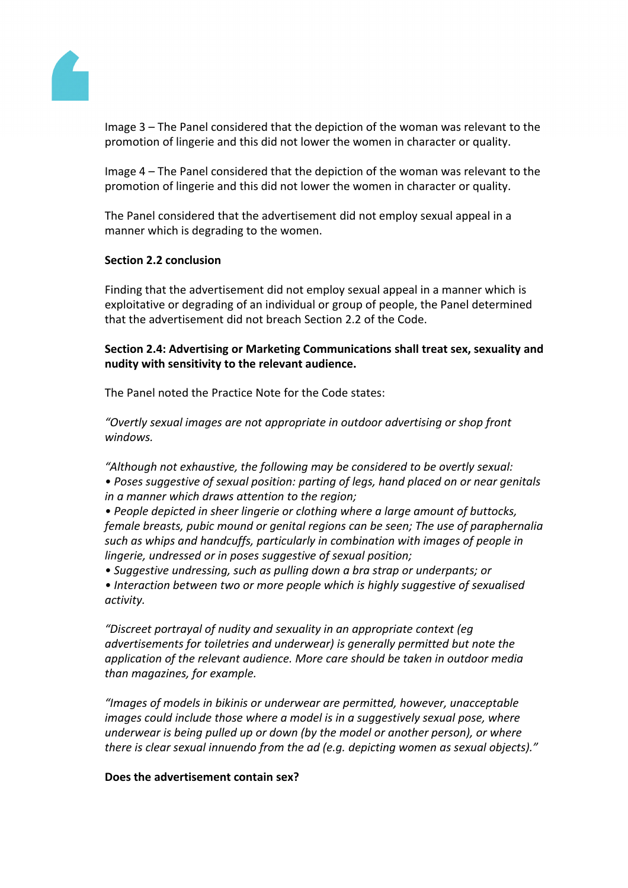

Image 3 – The Panel considered that the depiction of the woman was relevant to the promotion of lingerie and this did not lower the women in character or quality.

Image 4 – The Panel considered that the depiction of the woman was relevant to the promotion of lingerie and this did not lower the women in character or quality.

The Panel considered that the advertisement did not employ sexual appeal in a manner which is degrading to the women.

## **Section 2.2 conclusion**

Finding that the advertisement did not employ sexual appeal in a manner which is exploitative or degrading of an individual or group of people, the Panel determined that the advertisement did not breach Section 2.2 of the Code.

## **Section 2.4: Advertising or Marketing Communications shall treat sex, sexuality and nudity with sensitivity to the relevant audience.**

The Panel noted the Practice Note for the Code states:

*"Overtly sexual images are not appropriate in outdoor advertising or shop front windows.*

*"Although not exhaustive, the following may be considered to be overtly sexual: • Poses suggestive of sexual position: parting of legs, hand placed on or near genitals in a manner which draws attention to the region;*

*• People depicted in sheer lingerie or clothing where a large amount of buttocks, female breasts, pubic mound or genital regions can be seen; The use of paraphernalia such as whips and handcuffs, particularly in combination with images of people in lingerie, undressed or in poses suggestive of sexual position;*

*• Suggestive undressing, such as pulling down a bra strap or underpants; or*

*• Interaction between two or more people which is highly suggestive of sexualised activity.*

*"Discreet portrayal of nudity and sexuality in an appropriate context (eg advertisements for toiletries and underwear) is generally permitted but note the application of the relevant audience. More care should be taken in outdoor media than magazines, for example.*

*"Images of models in bikinis or underwear are permitted, however, unacceptable images could include those where a model is in a suggestively sexual pose, where underwear is being pulled up or down (by the model or another person), or where there is clear sexual innuendo from the ad (e.g. depicting women as sexual objects)."*

## **Does the advertisement contain sex?**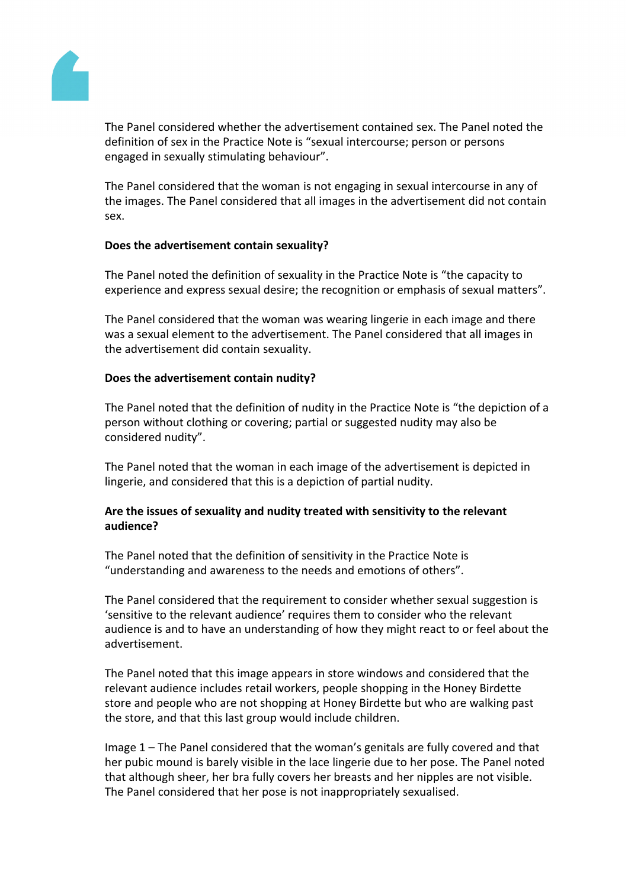

The Panel considered whether the advertisement contained sex. The Panel noted the definition of sex in the Practice Note is "sexual intercourse; person or persons engaged in sexually stimulating behaviour".

The Panel considered that the woman is not engaging in sexual intercourse in any of the images. The Panel considered that all images in the advertisement did not contain sex.

## **Does the advertisement contain sexuality?**

The Panel noted the definition of sexuality in the Practice Note is "the capacity to experience and express sexual desire; the recognition or emphasis of sexual matters".

The Panel considered that the woman was wearing lingerie in each image and there was a sexual element to the advertisement. The Panel considered that all images in the advertisement did contain sexuality.

## **Does the advertisement contain nudity?**

The Panel noted that the definition of nudity in the Practice Note is "the depiction of a person without clothing or covering; partial or suggested nudity may also be considered nudity".

The Panel noted that the woman in each image of the advertisement is depicted in lingerie, and considered that this is a depiction of partial nudity.

## **Are the issues of sexuality and nudity treated with sensitivity to the relevant audience?**

The Panel noted that the definition of sensitivity in the Practice Note is "understanding and awareness to the needs and emotions of others".

The Panel considered that the requirement to consider whether sexual suggestion is 'sensitive to the relevant audience' requires them to consider who the relevant audience is and to have an understanding of how they might react to or feel about the advertisement.

The Panel noted that this image appears in store windows and considered that the relevant audience includes retail workers, people shopping in the Honey Birdette store and people who are not shopping at Honey Birdette but who are walking past the store, and that this last group would include children.

Image 1 – The Panel considered that the woman's genitals are fully covered and that her pubic mound is barely visible in the lace lingerie due to her pose. The Panel noted that although sheer, her bra fully covers her breasts and her nipples are not visible. The Panel considered that her pose is not inappropriately sexualised.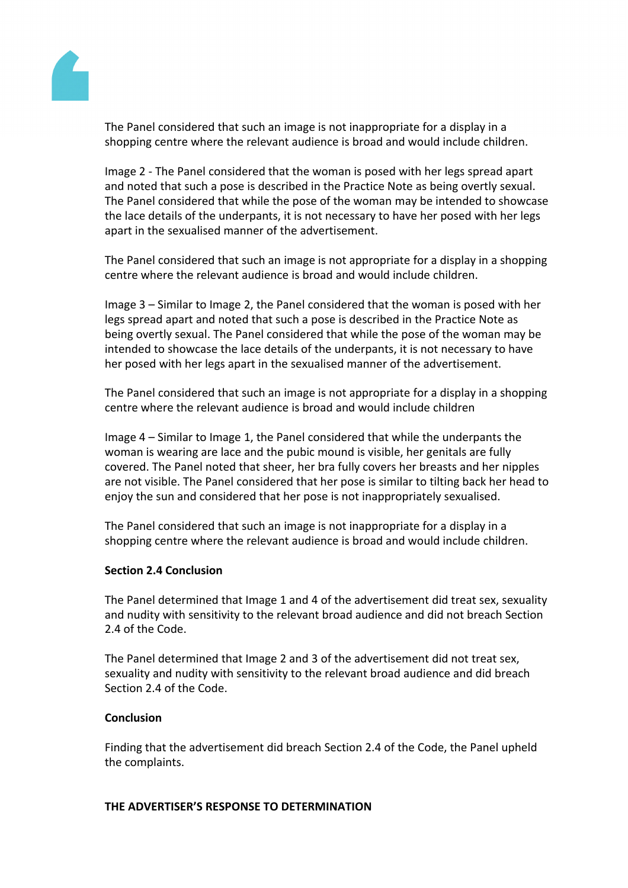

The Panel considered that such an image is not inappropriate for a display in a shopping centre where the relevant audience is broad and would include children.

Image 2 - The Panel considered that the woman is posed with her legs spread apart and noted that such a pose is described in the Practice Note as being overtly sexual. The Panel considered that while the pose of the woman may be intended to showcase the lace details of the underpants, it is not necessary to have her posed with her legs apart in the sexualised manner of the advertisement.

The Panel considered that such an image is not appropriate for a display in a shopping centre where the relevant audience is broad and would include children.

Image 3 – Similar to Image 2, the Panel considered that the woman is posed with her legs spread apart and noted that such a pose is described in the Practice Note as being overtly sexual. The Panel considered that while the pose of the woman may be intended to showcase the lace details of the underpants, it is not necessary to have her posed with her legs apart in the sexualised manner of the advertisement.

The Panel considered that such an image is not appropriate for a display in a shopping centre where the relevant audience is broad and would include children

Image 4 – Similar to Image 1, the Panel considered that while the underpants the woman is wearing are lace and the pubic mound is visible, her genitals are fully covered. The Panel noted that sheer, her bra fully covers her breasts and her nipples are not visible. The Panel considered that her pose is similar to tilting back her head to enjoy the sun and considered that her pose is not inappropriately sexualised.

The Panel considered that such an image is not inappropriate for a display in a shopping centre where the relevant audience is broad and would include children.

## **Section 2.4 Conclusion**

The Panel determined that Image 1 and 4 of the advertisement did treat sex, sexuality and nudity with sensitivity to the relevant broad audience and did not breach Section 2.4 of the Code.

The Panel determined that Image 2 and 3 of the advertisement did not treat sex, sexuality and nudity with sensitivity to the relevant broad audience and did breach Section 2.4 of the Code.

#### **Conclusion**

Finding that the advertisement did breach Section 2.4 of the Code, the Panel upheld the complaints.

#### **THE ADVERTISER'S RESPONSE TO DETERMINATION**